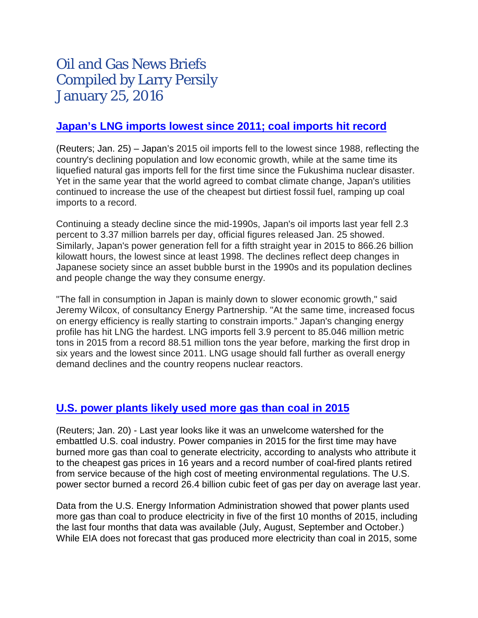# Oil and Gas News Briefs Compiled by Larry Persily January 25, 2016

# **[Japan's](http://uk.reuters.com/article/uk-japan-energy-demand-idUKKCN0V30N6) LNG imports lowest since 2011; coal imports hit record**

(Reuters; Jan. 25) – Japan's 2015 oil imports fell to the lowest since 1988, reflecting the country's declining population and low economic growth, while at the same time its liquefied natural gas imports fell for the first time since the Fukushima nuclear disaster. Yet in the same year that the world agreed to combat climate change, Japan's utilities continued to increase the use of the cheapest but dirtiest fossil fuel, ramping up coal imports to a record.

Continuing a steady decline since the mid-1990s, Japan's oil imports last year fell 2.3 percent to 3.37 million barrels per day, official figures released Jan. 25 showed. Similarly, Japan's power generation fell for a fifth straight year in 2015 to 866.26 billion kilowatt hours, the lowest since at least 1998. The declines reflect deep changes in Japanese society since an asset bubble burst in the 1990s and its population declines and people change the way they consume energy.

"The fall in consumption in Japan is mainly down to slower economic growth," said Jeremy Wilcox, of consultancy Energy Partnership. "At the same time, increased focus on energy efficiency is really starting to constrain imports." Japan's changing energy profile has hit LNG the hardest. LNG imports fell 3.9 percent to 85.046 million metric tons in 2015 from a record 88.51 million tons the year before, marking the first drop in six years and the lowest since 2011. LNG usage should fall further as overall energy demand declines and the country reopens nuclear reactors.

# **[U.S. power plants likely used more gas](http://www.reuters.com/article/us-usa-natgas-coal-idUSKCN0UY2LT) than coal in 2015**

(Reuters; Jan. 20) - Last year looks like it was an unwelcome watershed for the embattled U.S. coal industry. Power companies in 2015 for the first time may have burned more gas than coal to generate electricity, according to analysts who attribute it to the cheapest gas prices in 16 years and a record number of coal-fired plants retired from service because of the high cost of meeting environmental regulations. The U.S. power sector burned a record 26.4 billion cubic feet of gas per day on average last year.

Data from the U.S. Energy Information Administration showed that power plants used more gas than coal to produce electricity in five of the first 10 months of 2015, including the last four months that data was available (July, August, September and October.) While EIA does not forecast that gas produced more electricity than coal in 2015, some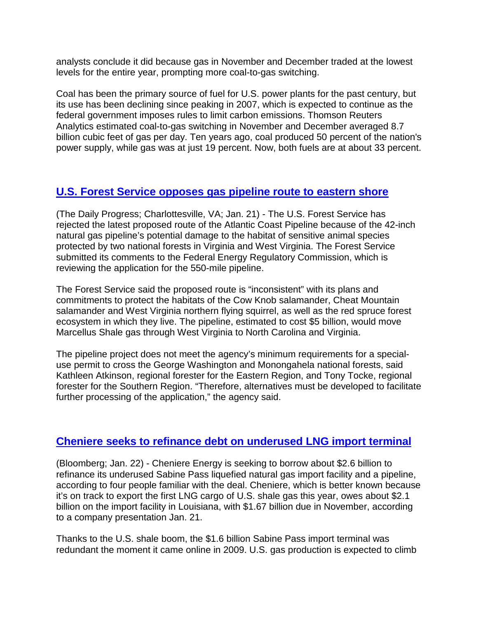analysts conclude it did because gas in November and December traded at the lowest levels for the entire year, prompting more coal-to-gas switching.

Coal has been the primary source of fuel for U.S. power plants for the past century, but its use has been declining since peaking in 2007, which is expected to continue as the federal government imposes rules to limit carbon emissions. Thomson Reuters Analytics estimated coal-to-gas switching in November and December averaged 8.7 billion cubic feet of gas per day. Ten years ago, coal produced 50 percent of the nation's power supply, while gas was at just 19 percent. Now, both fuels are at about 33 percent.

# **[U.S. Forest Service opposes gas pipeline route to eastern shore](http://www.dailyprogress.com/news/local/forest-service-rejects-proposed-route-of-atlantic-coast-pipeline/article_217e6e3e-c05c-11e5-a9c8-e7788a90e32d.html)**

(The Daily Progress; Charlottesville, VA; Jan. 21) - The U.S. Forest Service has rejected the latest proposed route of the Atlantic Coast Pipeline because of the 42-inch natural gas pipeline's potential damage to the habitat of sensitive animal species protected by two national forests in Virginia and West Virginia. The Forest Service submitted its comments to the Federal Energy Regulatory Commission, which is reviewing the application for the 550-mile pipeline.

The Forest Service said the proposed route is "inconsistent" with its plans and commitments to protect the habitats of the Cow Knob salamander, Cheat Mountain salamander and West Virginia northern flying squirrel, as well as the red spruce forest ecosystem in which they live. The pipeline, estimated to cost \$5 billion, would move Marcellus Shale gas through West Virginia to North Carolina and Virginia.

The pipeline project does not meet the agency's minimum requirements for a specialuse permit to cross the George Washington and Monongahela national forests, said Kathleen Atkinson, regional forester for the Eastern Region, and Tony Tocke, regional forester for the Southern Region. "Therefore, alternatives must be developed to facilitate further processing of the application," the agency said.

#### **[Cheniere seeks to refinance debt on underused LNG import terminal](http://www.bloomberg.com/news/articles/2016-01-22/cheniere-said-to-seek-2-6-billion-to-refinance-lng-import-plant)**

(Bloomberg; Jan. 22) - Cheniere Energy is seeking to borrow about \$2.6 billion to refinance its underused Sabine Pass liquefied natural gas import facility and a pipeline, according to four people familiar with the deal. Cheniere, which is better known because it's on track to export the first LNG cargo of U.S. shale gas this year, owes about \$2.1 billion on the import facility in Louisiana, with \$1.67 billion due in November, according to a company presentation Jan. 21.

Thanks to the U.S. shale boom, the \$1.6 billion Sabine Pass import terminal was redundant the moment it came online in 2009. U.S. gas production is expected to climb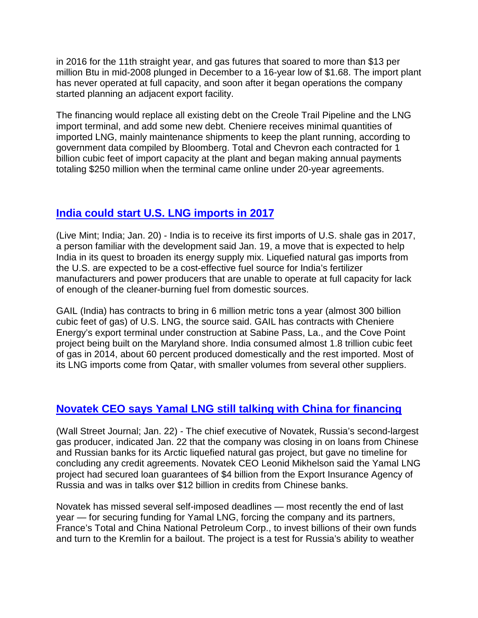in 2016 for the 11th straight year, and gas futures that soared to more than \$13 per million Btu in mid-2008 plunged in December to a 16-year [low](http://www.bloomberg.com/news/articles/2015-12-18/u-s-gas-climbs-from-16-year-low-on-slightly-cooler-forecasts) of \$1.68. The import plant has never operated at full capacity, and soon after it began operations the company started planning an adjacent export facility.

The financing would replace all existing debt on the [Creole Trail Pipeline](http://www.cheniere.com/pipelines/creole-trail/) and the LNG import terminal, and add some new debt. Cheniere receives minimal quantities of imported LNG, mainly maintenance shipments to keep the plant running, according to government data compiled by Bloomberg. Total and Chevron each contracted for 1 billion cubic feet of import capacity at the plant and began making annual payments totaling \$250 million when the terminal came online under 20-year agreements.

# **[India could start U.S. LNG imports in 2017](http://www.livemint.com/Industry/m68UrJwByFEQUwrsmhkAAK/India-to-receive-its-first-imports-of-US-shale-gas-in-2017.html)**

(Live Mint; India; Jan. 20) - India is to receive its first imports of U.S. shale gas in 2017, a person familiar with the development said Jan. 19, a move that is expected to help India in its quest to broaden its energy supply mix. Liquefied natural gas imports from the U.S. are expected to be a cost-effective fuel source for India's fertilizer manufacturers and power producers that are unable to operate at full capacity for lack of enough of the cleaner-burning fuel from domestic sources.

GAIL (India) has contracts to bring in 6 million metric tons a year (almost 300 billion cubic feet of gas) of U.S. LNG, the source said. GAIL has contracts with Cheniere Energy's export terminal under construction at Sabine Pass, La., and the Cove Point project being built on the Maryland shore. India consumed almost 1.8 trillion cubic feet of gas in 2014, about 60 percent produced domestically and the rest imported. Most of its LNG imports come from Qatar, with smaller volumes from several other suppliers.

# **[Novatek CEO says Yamal LNG still talking](http://www.wsj.com/articles/novatek-closes-in-on-loans-for-strategic-yamal-project-1453474940) with China for financing**

(Wall Street Journal; Jan. 22) - The chief executive of Novatek, Russia's second-largest gas producer, indicated Jan. 22 that the company was closing in on loans from Chinese and Russian banks for its Arctic liquefied natural gas project, but gave no timeline for concluding any credit agreements. Novatek CEO Leonid Mikhelson said the Yamal LNG project had secured loan guarantees of \$4 billion from the Export Insurance Agency of Russia and was in talks over \$12 billion in credits from Chinese banks.

Novatek has missed several self-imposed deadlines — most recently the end of last year — for securing funding for Yamal LNG, forcing the company and its partners, France's Total and China National Petroleum Corp., to invest billions of their own funds and turn to the Kremlin for a bailout. The project is a test for Russia's ability to weather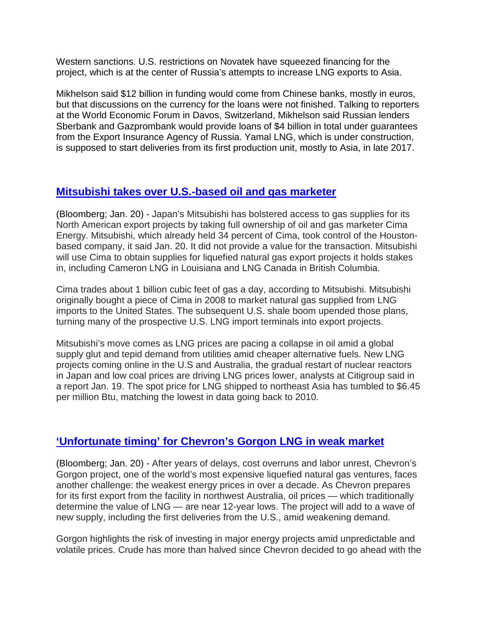Western sanctions. U.S. restrictions on Novatek have squeezed financing for the project, which is at the center of Russia's attempts to increase LNG exports to Asia.

Mikhelson said \$12 billion in funding would come from Chinese banks, mostly in euros, but that discussions on the currency for the loans were not finished. Talking to reporters at the World Economic Forum in Davos, Switzerland, Mikhelson said Russian lenders Sberbank and Gazprombank would provide loans of \$4 billion in total under guarantees from the Export Insurance Agency of Russia. Yamal LNG, which is under construction, is supposed to start deliveries from its first production unit, mostly to Asia, in late 2017.

#### **[Mitsubishi takes over U.S.-based oil and gas marketer](http://www.bloomberg.com/news/articles/2016-01-20/mitsubishi-bolsters-american-lng-link-with-gas-marketer-purchase)**

(Bloomberg; Jan. 20) - Japan's Mitsubishi has bolstered access to gas supplies for its North American export projects by taking full ownership of oil and gas marketer Cima Energy. Mitsubishi, which already held 34 percent of Cima, took control of the Houstonbased company, it [said](http://www.mitsubishicorp.com/jp/en/pr/archive/2016/html/0000029226.html) Jan. 20. It did not provide a value for the transaction. Mitsubishi will use Cima to obtain supplies for liquefied natural gas export projects it holds stakes in, including Cameron LNG in Louisiana and LNG Canada in British Columbia.

Cima trades about 1 billion cubic feet of gas a day, according to Mitsubishi. Mitsubishi originally bought a piece of Cima in 2008 to market natural gas supplied from LNG imports to the United States. The subsequent U.S. shale boom upended those plans, turning many of the prospective U.S. LNG import terminals into export projects.

Mitsubishi's move comes as LNG prices are pacing a collapse in oil amid a global supply glut and tepid demand from utilities amid cheaper alternative fuels. New LNG projects coming online in the U.S and Australia, the gradual restart of nuclear reactors in Japan and low coal prices are driving LNG prices lower, analysts at Citigroup said in a report Jan. 19. The spot price for LNG shipped to northeast Asia has tumbled to \$6.45 per million Btu, matching the lowest in data going back to 2010.

# **['Unfortunate timing' for Chevron's Gorgon LNG in weak market](http://www.bloomberg.com/news/articles/2016-01-20/chevron-s-costly-lng-project-to-start-in-shadow-of-oil-collapse)**

(Bloomberg; Jan. 20) - After years of delays, cost overruns and labor unrest, Chevron's Gorgon project, one of the world's most expensive liquefied natural gas ventures, faces another challenge: the weakest energy prices in over a decade. As Chevron prepares for its first export from the facility in northwest Australia, oil prices — which traditionally determine the value of LNG — are near 12-year lows. The project will add to a wave of new supply, including the first deliveries from the U.S., amid weakening demand.

Gorgon highlights the risk of investing in major energy projects amid unpredictable and volatile prices. Crude has more than halved since Chevron decided to go ahead with the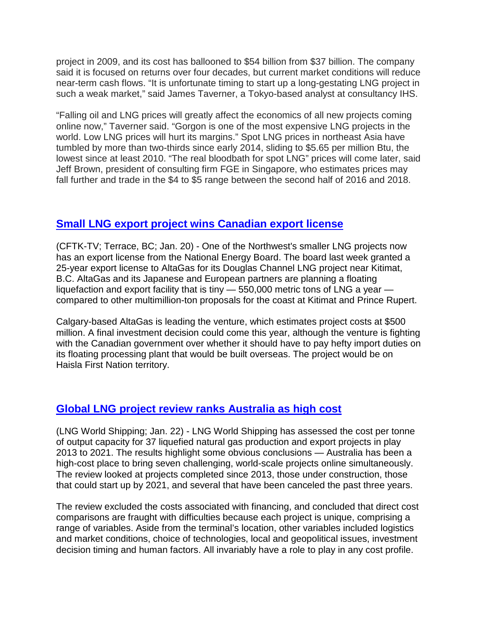project in 2009, and its cost has ballooned to \$54 billion from \$37 billion. The company said it is focused on returns over four decades, but current market conditions will reduce near-term cash flows. "It is unfortunate timing to start up a long-gestating LNG project in such a weak market," said James Taverner, a Tokyo-based analyst at consultancy IHS.

"Falling oil and LNG prices will greatly affect the economics of all new projects coming online now," Taverner said. "Gorgon is one of the most expensive LNG projects in the world. Low LNG prices will hurt its margins." Spot LNG prices in northeast Asia have tumbled by more than two-thirds since early 2014, sliding to \$5.65 per million Btu, the lowest since at least 2010. "The real bloodbath for spot LNG" prices will come later, said Jeff Brown, president of consulting firm FGE in Singapore, who estimates prices may fall further and trade in the \$4 to \$5 range between the second half of 2016 and 2018.

#### **[Small LNG export project wins Canadian export license](http://www.cftktv.com/News/Story.aspx?ID=2191169)**

(CFTK-TV; Terrace, BC; Jan. 20) - One of the Northwest's smaller LNG projects now has an export license from the National Energy Board. The board last week granted a 25-year export license to AltaGas for its Douglas Channel LNG project near Kitimat, B.C. AltaGas and its Japanese and European partners are planning a floating liquefaction and export facility that is tiny  $-$  550,000 metric tons of LNG a year  $$ compared to other multimillion-ton proposals for the coast at Kitimat and Prince Rupert.

Calgary-based AltaGas is leading the venture, which estimates project costs at \$500 million. A final investment decision could come this year, although the venture is fighting with the Canadian government over whether it should have to pay hefty import duties on its floating processing plant that would be built overseas. The project would be on Haisla First Nation territory.

# **[Global LNG project review ranks Australia as high cost](http://www.lngworldshipping.com/news/view,lng-project-costs-and-the-luck-of-the-draw_41276.htm)**

(LNG World Shipping; Jan. 22) - LNG World Shipping has assessed the cost per tonne of output capacity for 37 liquefied natural gas production and export projects in play 2013 to 2021. The results highlight some obvious conclusions — Australia has been a high-cost place to bring seven challenging, world-scale projects online simultaneously. The review looked at projects completed since 2013, those under construction, those that could start up by 2021, and several that have been canceled the past three years.

The review excluded the costs associated with financing, and concluded that direct cost comparisons are fraught with difficulties because each project is unique, comprising a range of variables. Aside from the terminal's location, other variables included logistics and market conditions, choice of technologies, local and geopolitical issues, investment decision timing and human factors. All invariably have a role to play in any cost profile.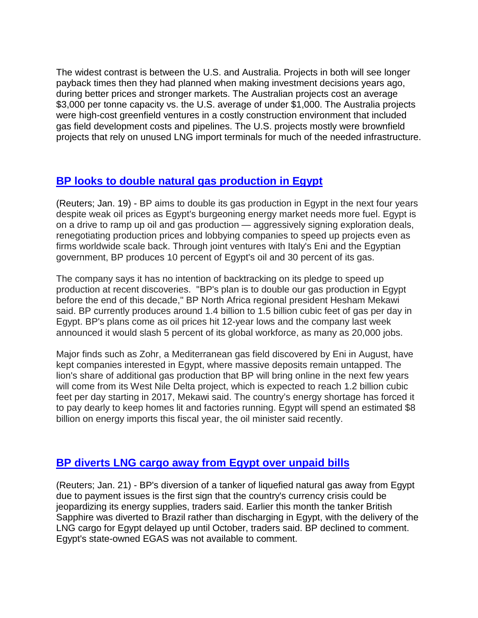The widest contrast is between the U.S. and Australia. Projects in both will see longer payback times then they had planned when making investment decisions years ago, during better prices and stronger markets. The Australian projects cost an average \$3,000 per tonne capacity vs. the U.S. average of under \$1,000. The Australia projects were high-cost greenfield ventures in a costly construction environment that included gas field development costs and pipelines. The U.S. projects mostly were brownfield projects that rely on unused LNG import terminals for much of the needed infrastructure.

#### **[BP looks to double natural gas production in Egypt](http://uk.reuters.com/article/uk-bp-egypt-idUKKCN0UX1X4)**

(Reuters; Jan. 19) - BP aims to double its gas production in Egypt in the next four years despite weak oil prices as Egypt's burgeoning energy market needs more fuel. Egypt is on a drive to ramp up oil and gas production — aggressively signing exploration deals, renegotiating production prices and lobbying companies to speed up projects even as firms worldwide scale back. Through joint ventures with Italy's Eni and the Egyptian government, BP produces 10 percent of Egypt's oil and 30 percent of its gas.

The company says it has no intention of backtracking on its pledge to speed up production at recent discoveries. "BP's plan is to double our gas production in Egypt before the end of this decade," BP North Africa regional president Hesham Mekawi said. BP currently produces around 1.4 billion to 1.5 billion cubic feet of gas per day in Egypt. BP's plans come as oil prices hit 12-year lows and the company last week announced it would slash 5 percent of its global workforce, as many as 20,000 jobs.

Major finds such as Zohr, a Mediterranean gas field discovered by Eni in August, have kept companies interested in Egypt, where massive deposits remain untapped. The lion's share of additional gas production that BP will bring online in the next few years will come from its West Nile Delta project, which is expected to reach 1.2 billion cubic feet per day starting in 2017, Mekawi said. The country's energy shortage has forced it to pay dearly to keep homes lit and factories running. Egypt will spend an estimated \$8 billion on energy imports this fiscal year, the oil minister said recently.

# **[BP diverts LNG cargo away from Egypt over unpaid bills](http://maritime-executive.com/article/egypt-skips-gas-bill-lng-shipment-diverted)**

(Reuters; Jan. 21) - BP's diversion of a tanker of liquefied natural gas away from Egypt due to payment issues is the first sign that the country's currency crisis could be jeopardizing its energy supplies, traders said. Earlier this month the tanker British Sapphire was diverted to Brazil rather than discharging in Egypt, with the delivery of the LNG cargo for Egypt delayed up until October, traders said. BP declined to comment. Egypt's state-owned EGAS was not available to comment.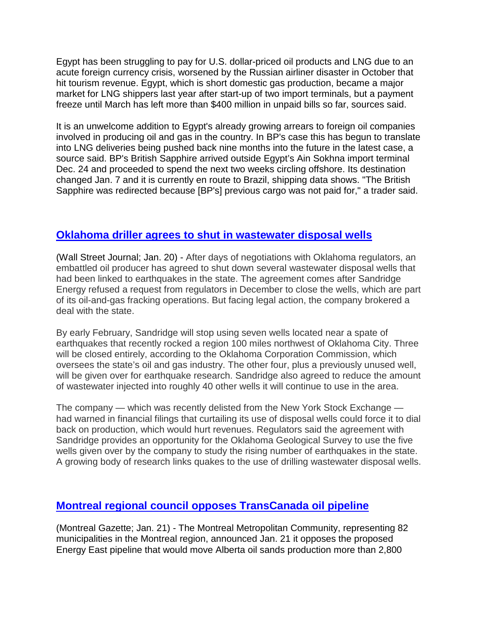Egypt has been struggling to pay for U.S. dollar-priced oil products and LNG due to an acute foreign currency crisis, worsened by the Russian airliner disaster in October that hit tourism revenue. Egypt, which is short domestic gas production, became a major market for LNG shippers last year after start-up of two import terminals, but a payment freeze until March has left more than \$400 million in unpaid bills so far, sources said.

It is an unwelcome addition to Egypt's already growing arrears to foreign oil companies involved in producing oil and gas in the country. In BP's case this has begun to translate into LNG deliveries being pushed back nine months into the future in the latest case, a source said. BP's British Sapphire arrived outside Egypt's Ain Sokhna import terminal Dec. 24 and proceeded to spend the next two weeks circling offshore. Its destination changed Jan. 7 and it is currently en route to Brazil, shipping data shows. "The British Sapphire was redirected because [BP's] previous cargo was not paid for," a trader said.

# **[Oklahoma driller agrees to shut in](http://www.wsj.com/articles/sandridge-energy-agrees-to-shut-several-oklahoma-wells-1453334751) wastewater disposal wells**

(Wall Street Journal; Jan. 20) - After days of negotiations with Oklahoma regulators, an embattled oil producer has agreed to shut down several wastewater disposal wells that had been linked to earthquakes in the state. The agreement comes after Sandridge Energy refused a request from regulators in December to close the wells, which are part of its oil-and-gas fracking operations. But facing legal action, the company brokered a deal with the state.

By early February, Sandridge will stop using seven wells located near a spate of earthquakes that recently rocked a region 100 miles northwest of Oklahoma City. Three will be closed entirely, according to the Oklahoma Corporation Commission, which oversees the state's oil and gas industry. The other four, plus a previously unused well, will be given over for earthquake research. Sandridge also agreed to reduce the amount of wastewater injected into roughly 40 other wells it will continue to use in the area.

The company — which was recently delisted from the New York Stock Exchange had warned in financial filings that curtailing its use of disposal wells could force it to dial back on production, which would hurt revenues. Regulators said the agreement with Sandridge provides an opportunity for the Oklahoma Geological Survey to use the five wells given over by the company to study the rising number of earthquakes in the state. A growing body of research links quakes to the use of drilling wastewater disposal wells.

# **Montreal regional council [opposes TransCanada oil pipeline](http://www.calgaryherald.com/news/story.html?id=11666825)**

(Montreal Gazette; Jan. 21) - The Montreal Metropolitan Community, representing 82 municipalities in the Montreal region, announced Jan. 21 it opposes the proposed Energy East pipeline that would move Alberta oil sands production more than 2,800